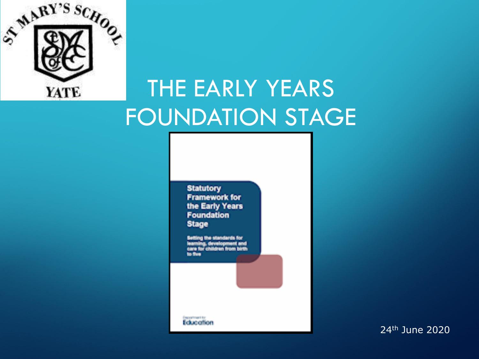

### THE EARLY YEARS FOUNDATION STAGE

**Statutory Framework for** the Early Years Foundation **Stage** 

etting the standards for ig, devel care for ch is for

Education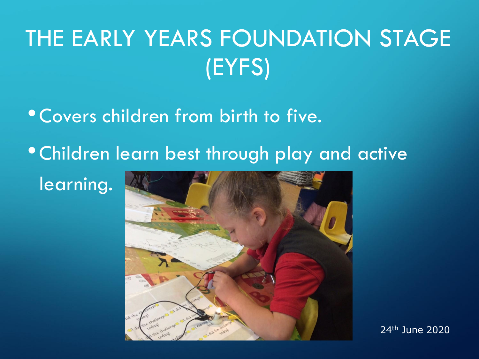## THE EARLY YEARS FOUNDATION STAGE (EYFS)

- •Covers children from birth to five.
- •Children learn best through play and active
	- learning.

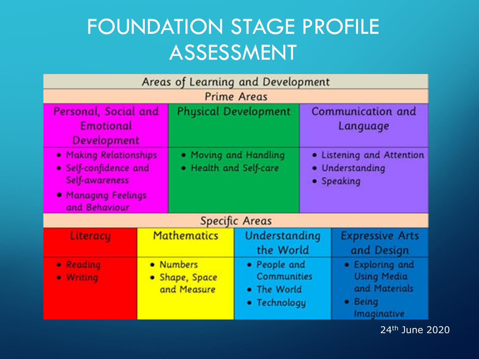#### FOUNDATION STAGE PROFILE ASSESSMENT

| Areas of Learning and Development                                                                         |                                            |                                                 |                                                                   |                                                            |                                                                                  |  |
|-----------------------------------------------------------------------------------------------------------|--------------------------------------------|-------------------------------------------------|-------------------------------------------------------------------|------------------------------------------------------------|----------------------------------------------------------------------------------|--|
| <b>Prime Areas</b>                                                                                        |                                            |                                                 |                                                                   |                                                            |                                                                                  |  |
| Personal, Social and<br><b>Emotional</b><br>Development                                                   |                                            | <b>Physical Development</b>                     |                                                                   | Communication and<br>Language                              |                                                                                  |  |
| • Making Relationships<br>· Self-confidence and<br>Self-awareness<br>• Managing Feelings<br>and Behaviour |                                            | . Moving and Handling<br>• Health and Self-care |                                                                   | • Listening and Attention<br>• Understanding<br>• Speaking |                                                                                  |  |
| <b>Specific Areas</b>                                                                                     |                                            |                                                 |                                                                   |                                                            |                                                                                  |  |
| Literacy                                                                                                  | <b>Mathematics</b>                         |                                                 | Understanding<br>the World                                        |                                                            | <b>Expressive Arts</b><br>and Design                                             |  |
| • Reading<br>· Writing                                                                                    | • Numbers<br>• Shape, Space<br>and Measure |                                                 | • People and<br><b>Communities</b><br>• The World<br>• Technology |                                                            | • Exploring and<br><b>Using Media</b><br>and Materials<br>• Being<br>Imaginative |  |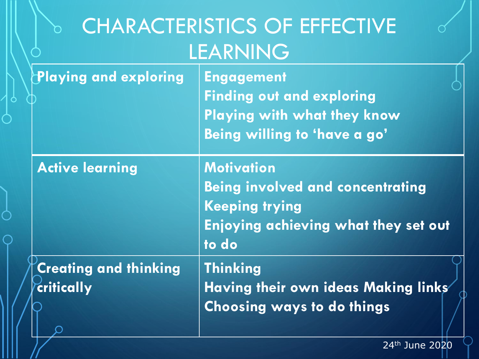|                                            | <b>CHARACTERISTICS OF EFFECTIVE</b><br>LEARNING                                                                                               |
|--------------------------------------------|-----------------------------------------------------------------------------------------------------------------------------------------------|
| Playing and exploring                      | <b>Engagement</b><br><b>Finding out and exploring</b><br>Playing with what they know<br>Being willing to 'have a go'                          |
| <b>Active learning</b>                     | <b>Motivation</b><br><b>Being involved and concentrating</b><br><b>Keeping trying</b><br><b>Enjoying achieving what they set out</b><br>to do |
| <b>Creating and thinking</b><br>critically | <b>Thinking</b><br>Having their own ideas Making links<br><b>Choosing ways to do things</b>                                                   |

Ō

 $\bigcap$ 

Ò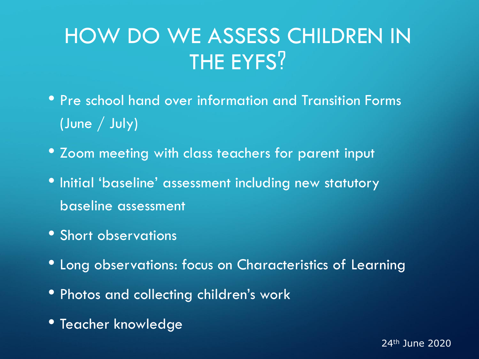#### HOW DO WE ASSESS CHILDREN IN THE EYFS?

- Pre school hand over information and Transition Forms (June / July)
- Zoom meeting with class teachers for parent input
- Initial 'baseline' assessment including new statutory baseline assessment
- Short observations
- Long observations: focus on Characteristics of Learning
- Photos and collecting children's work
- Teacher knowledge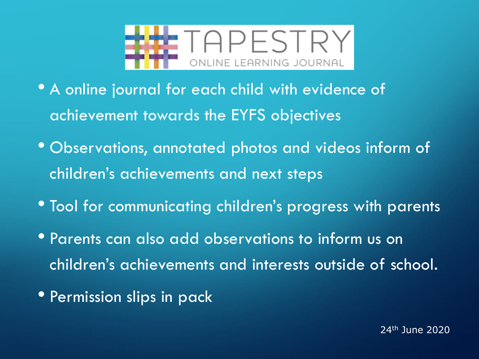

- A online journal for each child with evidence of achievement towards the EYFS objectives
- Observations, annotated photos and videos inform of children's achievements and next steps
- Tool for communicating children's progress with parents
- Parents can also add observations to inform us on children's achievements and interests outside of school.
- Permission slips in pack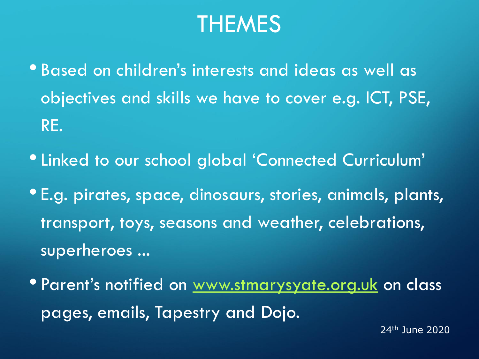#### THEMES

- Based on children's interests and ideas as well as objectives and skills we have to cover e.g. ICT, PSE, RE.
- •Linked to our school global 'Connected Curriculum'
- E.g. pirates, space, dinosaurs, stories, animals, plants, transport, toys, seasons and weather, celebrations, superheroes ...
- Parent's notified on [www.stmarysyate.org.uk](http://www.stmarysyate.org.uk/) on class pages, emails, Tapestry and Dojo.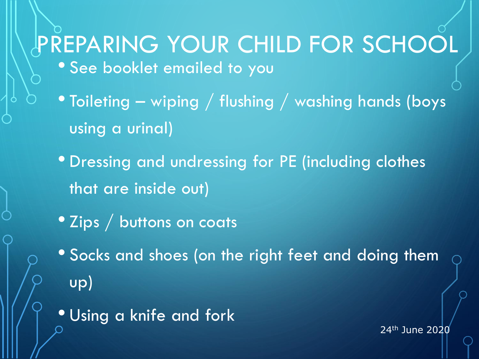# PREPARING YOUR CHILD FOR SCHOOL

- See booklet emailed to you
- Toileting wiping / flushing / washing hands (boys using a urinal)
- Dressing and undressing for PE (including clothes that are inside out)
- Zips / buttons on coats
- Socks and shoes (on the right feet and doing them up)
- Using a knife and fork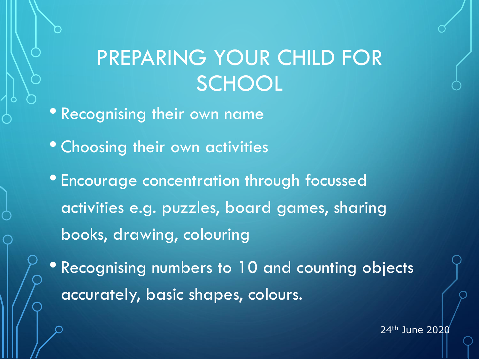#### PREPARING YOUR CHILD FOR **SCHOOL**

• Recognising their own name

- Choosing their own activities
- Encourage concentration through focussed activities e.g. puzzles, board games, sharing books, drawing, colouring
- Recognising numbers to 10 and counting objects accurately, basic shapes, colours.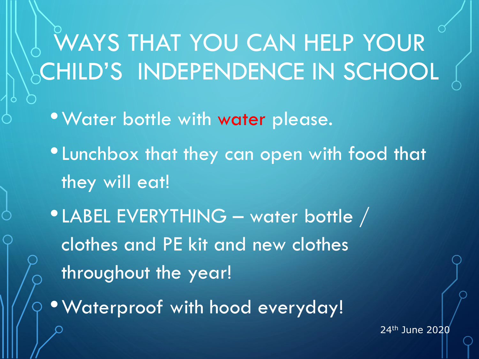WAYS THAT YOU CAN HELP YOUR CHILD'S INDEPENDENCE IN SCHOOL

- •Water bottle with water please.
- •Lunchbox that they can open with food that they will eat!
- •LABEL EVERYTHING water bottle / clothes and PE kit and new clothes throughout the year!
- •Waterproof with hood everyday!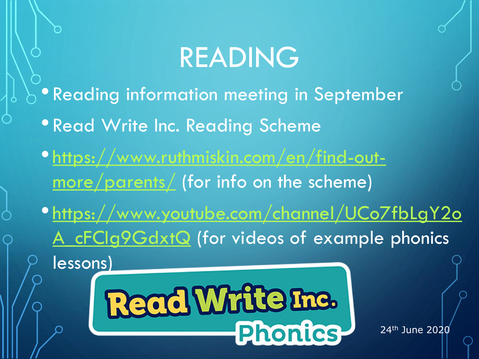## READING

- Reading information meeting in September
	- Read Write Inc. Reading Scheme
- [https://www.ruthmiskin.com/en/find-out](https://www.ruthmiskin.com/en/find-out-more/parents/)more/parents/ (for info on the scheme)
- [https://www.youtube.com/channel/UCo7fbLgY2o](https://www.youtube.com/channel/UCo7fbLgY2oA_cFCIg9GdxtQ) A cFCIg9GdxtQ (for videos of example phonics lessons)